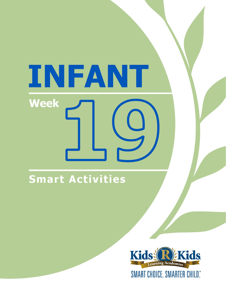# INFANT **Week**

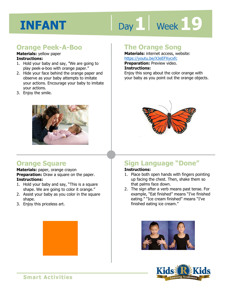# Day 1 | Week 1 9

#### **Orange Peek-A-Boo**

**Materials:** yellow paper **Instructions:** 

- 1. Hold your baby and say, "We are going to play peek-a-boo with orange paper."
- 2. Hide your face behind the orange paper and observe as your baby attempts to imitate your actions. Encourage your baby to imitate your actions.
- 3. Enjoy the smile.



#### **Orange Square**

**Materials:** paper, orange crayon **Preparation:** Draw a square on the paper. **Instructions:** 

- 1. Hold your baby and say, "This is a square shape. We are going to color it orange."
- 2. Assist your baby as you color in the square shape.
- 3. Enjoy this priceless art.

#### **The Orange Song**

**Materials:** internet access, website: https://youtu.be/XJeEFXycxfc

**Preparation:** Preview video.

#### **Instructions:**

**1 4**  Enjoy this song about the color orange with your baby as you point out the orange objects.



### **Sign Language "Done"**

#### **Instructions:**

- 1. Place both open hands with fingers pointing up facing the chest. Then, shake them so that palms face down.
- 2. The sign after a verb means past tense. For example, "Eat finished" means "I've finished eating." "Ice cream finished" means "I've finished eating ice cream."



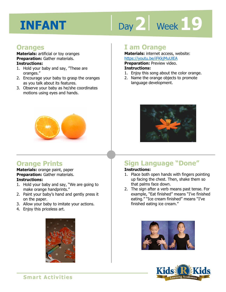# Day 2 | Week 19

#### **Oranges**

**Materials:** artificial or toy oranges **Preparation:** Gather materials. **Instructions:** 

- 1. Hold your baby and say, "These are oranges."
- 2. Encourage your baby to grasp the oranges as you talk about its features.
- 3. Observe your baby as he/she coordinates motions using eyes and hands.



#### **Orange Prints**

**Materials:** orange paint, paper **Preparation:** Gather materials. **Instructions:** 

- 1. Hold your baby and say, "We are going to make orange handprints."
- 2. Paint your baby's hand and gently press it on the paper.
- 3. Allow your baby to imitate your actions.
- 4. Enjoy this priceless art.



#### **I am Orange**

**Materials:** internet access, website: https://youtu.be/iFKkjMuUlEA

**Preparation: Preview video.** 

#### **Instructions:**

- 1. Enjoy this song about the color orange.
- 2. Name the orange objects to promote language development.



### **Sign Language "Done"**

#### **Instructions:**

- 1. Place both open hands with fingers pointing up facing the chest. Then, shake them so that palms face down.
- 2. The sign after a verb means past tense. For example, "Eat finished" means "I've finished eating." "Ice cream finished" means "I've finished eating ice cream."



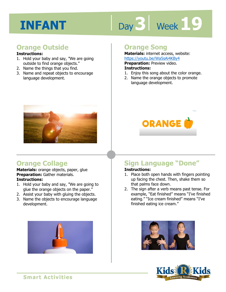# Day 3 | Week 19

#### **Orange Outside**

#### **Instructions:**

- 1. Hold your baby and say, "We are going outside to find orange objects."
- 2. Name the things that you find.
- 3. Name and repeat objects to encourage language development.



#### **Orange Collage**

**Materials:** orange objects, paper, glue **Preparation:** Gather materials. **Instructions:** 

- 1. Hold your baby and say, "We are going to glue the orange objects on the paper."
- 2. Assist your baby with gluing the objects.
- 3. Name the objects to encourage language development.



#### **Orange Song**

**Materials:** internet access, website: https://youtu.be/Wa5sAi4KBy4

**Preparation: Preview video.** 

#### **Instructions:**

- **1 4**  1. Enjoy this song about the color orange.
- 2. Name the orange objects to promote language development.



#### **Sign Language "Done"**

#### **Instructions:**

- 1. Place both open hands with fingers pointing up facing the chest. Then, shake them so that palms face down.
- 2. The sign after a verb means past tense. For example, "Eat finished" means "I've finished eating." "Ice cream finished" means "I've finished eating ice cream."



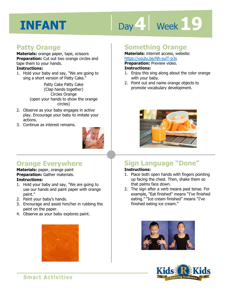# Day 4 Week 19

#### **Patty Orange**

**Materials:** orange paper, tape, scissors **Preparation:** Cut out two orange circles and tape them to your hands.

#### **Instructions:**

1. Hold your baby and say, "We are going to sing a short version of Patty Cake."

> Patty Cake Patty Cake (Clap hands together) Circles Orange (open your hands to show the orange circles)

- 2. Observe as your baby engages in active play. Encourage your baby to imitate your actions.
- 3. Continue as interest remains.



#### **Something Orange**

**Materials:** internet access, website: https://youtu.be/Nh-sulT-p3s **Preparation:** Preview video.

**Instructions:** 

- 1. Enjoy this sing along about the color orange with your baby.
- 2. Point out and name orange objects to promote vocabulary development.



#### **Orange Everywhere**

**Materials:** paper, orange paint **Preparation:** Gather materials. **Instructions:** 

- 1. Hold your baby and say, "We are going to use our hands and paint paper with orange paint."
- 2. Paint your baby's hands.
- 3. Encourage and assist him/her in rubbing the paint on the paper.
- 4. Observe as your baby explores paint.



### **Sign Language "Done"**

#### **Instructions:**

- 1. Place both open hands with fingers pointing up facing the chest. Then, shake them so that palms face down.
- 2. The sign after a verb means past tense. For example, "Eat finished" means "I've finished eating." "Ice cream finished" means "I've finished eating ice cream."